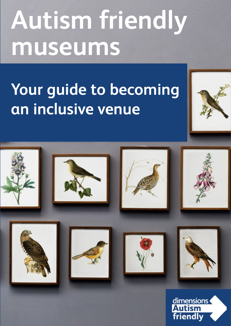# **Autism friendly museums**

## **Your guide to becoming an inclusive venue**

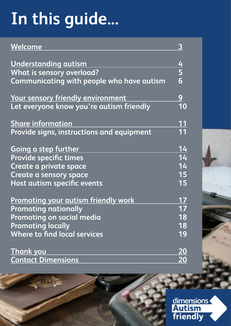## **In this guide...**

| Welcome                                    | 3                              |
|--------------------------------------------|--------------------------------|
| <b>Understanding autism</b>                |                                |
| <b>What is sensory overload?</b>           | $\frac{4}{5}$<br>6             |
| Communicating with people who have autism  |                                |
| Your sensory friendly environment          | <u>9</u>                       |
| Let everyone know you're autism friendly   | 10                             |
| <b>Share information</b>                   | 11                             |
| Provide signs, instructions and equipment  | 11                             |
| <b>Going a step further</b>                | 14                             |
| <b>Provide specific times</b>              | 14                             |
| Create a private space                     | 14                             |
| Create a sensory space                     | 15                             |
| Host autism specific events                | 15                             |
| <b>Promoting your autism friendly work</b> |                                |
| <b>Promoting nationally</b>                |                                |
| Promoting on social media                  | 18                             |
| <b>Promoting locally</b>                   | 18                             |
| Where to find local services               | 19                             |
| <b>Thank you</b>                           | <u> 20</u>                     |
| <b>Contact Dimensions</b>                  | $\overline{\overline{\bf 20}}$ |

dimensions<br>Autism<br>friendly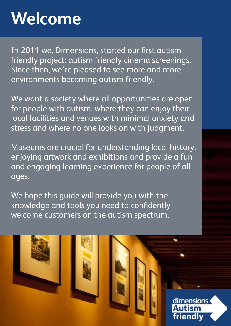## <span id="page-2-0"></span>**Welcome**

In 2011 we, Dimensions, started our first autism friendly project: autism friendly cinema screenings. Since then, we're pleased to see more and more environments becoming autism friendly.

We want a society where all opportunities are open for people with autism, where they can enjoy their local facilities and venues with minimal anxiety and stress and where no one looks on with judgment.

Museums are crucial for understanding local history, enjoying artwork and exhibitions and provide a fun and engaging learning experience for people of all ages.

dimensions

friendly

We hope this quide will provide you with the knowledge and tools you need to confidently welcome customers on the autism spectrum.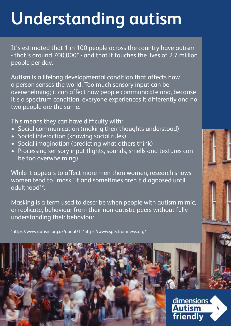## <span id="page-3-0"></span>**Understanding autism**

It's estimated that 1 in 100 people across the country have autism - that's around 700,000\* - and that it touches the lives of 2.7 million people per day.

Autism is a lifelong developmental condition that affects how a person senses the world. Too much sensory input can be overwhelming; it can affect how people communicate and, because it's a spectrum condition, everyone experiences it differently and no two people are the same.

This means they can have difficulty with:

- Social communication (making their thoughts understood)
- Social interaction (knowing social rules)
- Social imagination (predicting what others think)
- Processing sensory input (lights, sounds, smells and textures can be too overwhelming).

While it appears to affect more men than women, research shows women tend to "mask" it and sometimes aren't diagnosed until adulthood\*\*.

Masking is a term used to describe when people with autism mimic, or replicate, behaviour from their non-autistic peers without fully understanding their behaviour.

\*https://www.autism.org.uk/about/ | \*\*https://www.spectrumnews.org/



dimensions **Autism** friendly

**4**

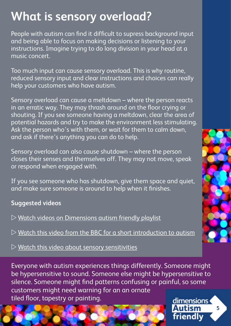### <span id="page-4-0"></span>**What is sensory overload?**

People with autism can find it difficult to supress background input and being able to focus on making decisions or listening to your instructions. Imagine trying to do long division in your head at a music concert.

Too much input can cause sensory overload. This is why routine, reduced sensory input and clear instructions and choices can really help your customers who have autism.

Sensory overload can cause a meltdown – where the person reacts in an erratic way. They may thrash around on the floor crying or shouting. If you see someone having a meltdown, clear the area of potential hazards and try to make the environment less stimulating. Ask the person who's with them, or wait for them to calm down, and ask if there's anything you can do to help.

Sensory overload can also cause shutdown – where the person closes their senses and themselves off. They may not move, speak or respond when engaged with.

If you see someone who has shutdown, give them space and quiet, and make sure someone is around to help when it finishes.

#### **Suggested videos**

- $\triangleright$  [Watch videos on Dimensions autism friendly playlist](https://www.youtube.com/playlist?list=PL8bhQ9jH6VpSqL8sClHjMWlQvX7DYUfmk)
- $D$  [Watch this video from the BBC for a short introduction to autism](https://www.youtube.com/watch?v=ejpWWP1HNGQ&t=80s)

 $\triangleright$  [Watch this video about sensory sensitivities](https://www.youtube.com/watch?v=KmDGvquzn2k&t=3s)

Everyone with autism experiences things differently. Someone might be hypersensitive to sound. Someone else might be hypersensitive to silence. Someone might find patterns confusing or painful, so some customers might need warning for an an ornate tiled floor, tapestry or painting.dimensions



**5**

**Autism** 

friendly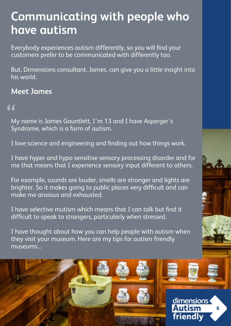### <span id="page-5-0"></span>**Communicating with people who have autism**

Everybody experiences autism differently, so you will find your customers prefer to be communicated with differently too.

But, Dimensions consultant, James, can give you a little insight into his world.

### **Meet James**

### "

My name is James Gauntlett, I'm 13 and I have Asperger's Syndrome, which is a form of autism.

I love science and engineering and finding out how things work.

I have hyper and hypo sensitive sensory processing disorder and for me that means that I experience sensory input different to others.

For example, sounds are louder, smells are stronger and lights are brighter. So it makes going to public places very difficult and can make me anxious and exhausted.

I have selective mutism which means that I can talk but find it difficult to speak to strangers, particularly when stressed.

I have thought about how you can help people with autism when they visit your museum. Here are my tips for autism friendly museums...

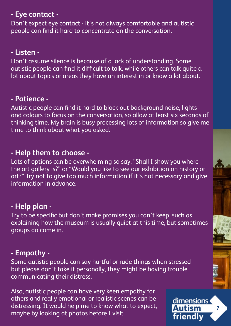#### **- Eye contact -**

Don't expect eye contact - it's not always comfortable and autistic people can find it hard to concentrate on the conversation.

### **- Listen -**

Don't assume silence is because of a lack of understanding. Some autistic people can find it difficult to talk, while others can talk quite a lot about topics or areas they have an interest in or know a lot about.

#### **- Patience -**

Autistic people can find it hard to block out background noise, lights and colours to focus on the conversation, so allow at least six seconds of thinking time. My brain is busy processing lots of information so give me time to think about what you asked.

### **- Help them to choose -**

Lots of options can be overwhelming so say, "Shall I show you where the art gallery is?" or "Would you like to see our exhibition on history or art?" Try not to give too much information if it's not necessary and give information in advance.

### **- Help plan -**

Try to be specific but don't make promises you can't keep, such as explaining how the museum is usually quiet at this time, but sometimes groups do come in.

### **- Empathy -**

Some autistic people can say hurtful or rude things when stressed but please don't take it personally, they might be having trouble communicating their distress.

Also, autistic people can have very keen empathy for others and really emotional or realistic scenes can be distressing. It would help me to know what to expect, maybe by looking at photos before I visit.

dimensions **Autism 7** friendly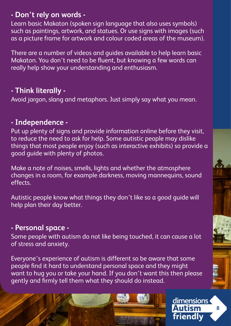#### **- Don't rely on words -**

Learn basic Makaton (spoken sign language that also uses symbols) such as paintings, artwork, and statues. Or use signs with images (such as a picture frame for artwork and colour coded areas of the museum).

There are a number of videos and guides available to help learn basic Makaton. You don't need to be fluent, but knowing a few words can really help show your understanding and enthusiasm.

### **- Think literally -**

Avoid jargon, slang and metaphors. Just simply say what you mean.

### **- Independence -**

Put up plenty of signs and provide information online before they visit, to reduce the need to ask for help. Some autistic people may dislike things that most people enjoy (such as interactive exhibits) so provide a good guide with plenty of photos.

Make a note of noises, smells, lights and whether the atmosphere changes in a room, for example darkness, moving mannequins, sound effects.

Autistic people know what things they don't like so a good guide will help plan their day better.

#### **- Personal space -**

Some people with autism do not like being touched, it can cause a lot of stress and anxiety.

Everyone's experience of autism is different so be aware that some people find it hard to understand personal space and they might want to hug you or take your hand. If you don't want this then please gently and firmly tell them what they should do instead.



dimensions **Autism** friendly

**8**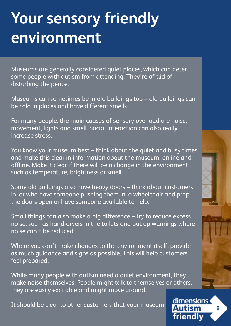## <span id="page-8-0"></span>**Your sensory friendly environment**

Museums are generally considered quiet places, which can deter some people with autism from attending. They're afraid of disturbing the peace.

Museums can sometimes be in old buildings too – old buildings can be cold in places and have different smells.

For many people, the main causes of sensory overload are noise, movement, lights and smell. Social interaction can also really increase stress.

You know your museum best – think about the quiet and busy times and make this clear in information about the museum: online and offline. Make it clear if there will be a change in the environment, such as temperature, brightness or smell.

Some old buildings also have heavy doors – think about customers in, or who have someone pushing them in, a wheelchair and prop the doors open or have someone available to help.

Small things can also make a big difference – try to reduce excess noise, such as hand-dryers in the toilets and put up warnings where noise can't be reduced.

Where you can't make changes to the environment itself, provide as much guidance and signs as possible. This will help customers feel prepared.

While many people with autism need a quiet environment, they make noise themselves. People might talk to themselves or others, they are easily excitable and might move around.

It should be clear to other customers that your museum

dimensions **Autism 9** friendly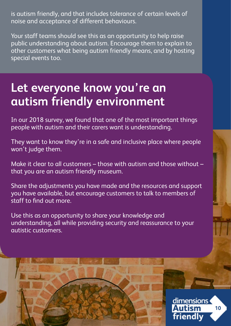<span id="page-9-0"></span>is autism friendly, and that includes tolerance of certain levels of noise and acceptance of different behaviours.

Your staff teams should see this as an opportunity to help raise public understanding about autism. Encourage them to explain to other customers what being autism friendly means, and by hosting special events too.

### **Let everyone know you're an autism friendly environment**

In our 2018 survey, we found that one of the most important things people with autism and their carers want is understanding.

They want to know they're in a safe and inclusive place where people won't judge them.

Make it clear to all customers – those with autism and those without – that you are an autism friendly museum.

Share the adjustments you have made and the resources and support you have available, but encourage customers to talk to members of staff to find out more.

Use this as an opportunity to share your knowledge and understanding, all while providing security and reassurance to your autistic customers.



dimensions **Autism 10** friendly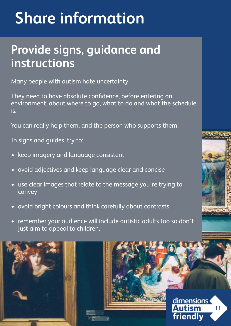## <span id="page-10-0"></span> **Share information**

### **Provide signs, guidance and instructions**

Many people with autism hate uncertainty.

They need to have absolute confidence, before entering an environment, about where to go, what to do and what the schedule is.

You can really help them, and the person who supports them.

In signs and guides, try to:

- keep imagery and language consistent
- avoid adjectives and keep language clear and concise
- use clear images that relate to the message you're trying to **convey**
- avoid bright colours and think carefully about contrasts
- remember your audience will include autistic adults too so don't just aim to appeal to children.





dimensions **11** friendly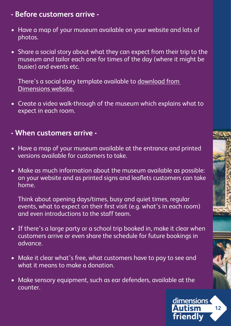#### **- Before customers arrive -**

- Have a map of your museum available on your website and lots of photos.
- Share a social story about what they can expect from their trip to the museum and tailor each one for times of the day (where it might be busier) and events etc.

There's a social story template available to download from [Dimensions website.](http://www.dimensions-uk.org/autismmuseums)

• Create a video walk-through of the museum which explains what to expect in each room.

#### **- When customers arrive -**

- Have a map of your museum available at the entrance and printed versions available for customers to take.
- Make as much information about the museum available as possible: on your website and as printed signs and leaflets customers can take home.

Think about opening days/times, busy and quiet times, regular events, what to expect on their first visit (e.g. what's in each room) and even introductions to the staff team.

- If there's a large party or a school trip booked in, make it clear when customers arrive or even share the schedule for future bookings in advance.
- Make it clear what's free, what customers have to pay to see and what it means to make a donation.
- Make sensory equipment, such as ear defenders, available at the counter.

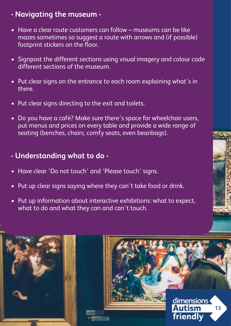### **- Navigating the museum -**

- Have a clear route customers can follow museums can be like mazes sometimes so suggest a route with arrows and (if possible) footprint stickers on the floor.
- Signpost the different sections using visual imagery and colour code different sections of the museum.
- Put clear signs on the entrance to each room explaining what's in there.
- Put clear signs directing to the exit and toilets.
- Do you have a café? Make sure there's space for wheelchair users, put menus and prices on every table and provide a wide range of seating (benches, chairs, comfy seats, even beanbags).

### **- Understanding what to do -**

- Have clear 'Do not touch' and 'Please touch' signs.
- Put up clear signs saying where they can't take food or drink.
- Put up information about interactive exhibitions: what to expect, what to do and what they can and can't touch.

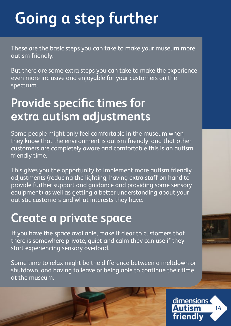## <span id="page-13-0"></span> **Going a step further**

These are the basic steps you can take to make your museum more autism friendly.

But there are some extra steps you can take to make the experience even more inclusive and enjoyable for your customers on the spectrum.

### **Provide specific times for extra autism adjustments**

Some people might only feel comfortable in the museum when they know that the environment is autism friendly, and that other customers are completely aware and comfortable this is an autism friendly time.

This gives you the opportunity to implement more autism friendly adjustments (reducing the lighting, having extra staff on hand to provide further support and guidance and providing some sensory equipment) as well as getting a better understanding about your autistic customers and what interests they have.

### **Create a private space**

If you have the space available, make it clear to customers that there is somewhere private, quiet and calm they can use if they start experiencing sensory overload.

Some time to relax might be the difference between a meltdown or shutdown, and having to leave or being able to continue their time at the museum.

> dimensions Autism **14** friendly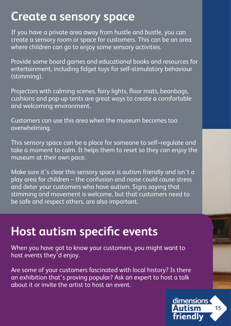### <span id="page-14-0"></span>**Create a sensory space**

If you have a private area away from hustle and bustle, you can create a sensory room or space for customers. This can be an area where children can go to enjoy some sensory activities.

Provide some board games and educational books and resources for entertainment, including fidget toys for self-stimulatory behaviour (stimming).

Projectors with calming scenes, fairy lights, floor mats, beanbags, cushions and pop-up tents are great ways to create a comfortable and welcoming environment.

Customers can use this area when the museum becomes too overwhelming.

This sensory space can be a place for someone to self–regulate and take a moment to calm. It helps them to reset so they can enjoy the museum at their own pace.

Make sure it's clear this sensory space is autism friendly and isn't a play area for children – the confusion and noise could cause stress and deter your customers who have autism. Signs saying that stimming and movement is welcome, but that customers need to be safe and respect others, are also important.

### **Host autism specific events**

When you have got to know your customers, you might want to host events they'd enjoy.

Are some of your customers fascinated with local history? Is there an exhibition that's proving popular? Ask an expert to host a talk about it or invite the artist to host an event.

> dimensions **Autism 15** friendly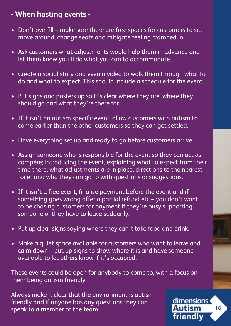#### **- When hosting events -**

- Don't overfill make sure there are free spaces for customers to sit, move around, change seats and mitigate feeling cramped in.
- Ask customers what adjustments would help them in advance and let them know you'll do what you can to accommodate.
- Create a social story and even a video to walk them through what to do and what to expect. This should include a schedule for the event.
- Put signs and posters up so it's clear where they are, where they should go and what they're there for.
- If it isn't an autism specific event, allow customers with autism to come earlier than the other customers so they can get settled.
- Have everything set up and ready to go before customers arrive.
- Assign someone who is responsible for the event so they can act as compère; introducing the event, explaining what to expect from their time there, what adjustments are in place, directions to the nearest toilet and who they can go to with questions or suggestions.
- If it isn't a free event, finalise payment before the event and if something goes wrong offer a partial refund etc – you don't want to be chasing customers for payment if they're busy supporting someone or they have to leave suddenly.
- Put up clear signs saying where they can't take food and drink.
- Make a quiet space available for customers who want to leave and calm down – put up signs to show where it is and have someone available to let others know if it's occupied.

These events could be open for anybody to come to, with a focus on them being autism friendly.

Always make it clear that the environment is autism friendly and if anyone has any questions they can speak to a member of the team.

dimensions **Autism 16** friendly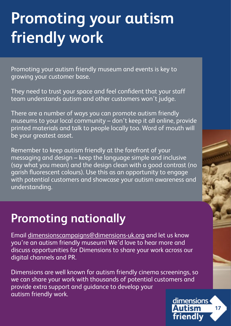## <span id="page-16-0"></span>**Promoting your autism friendly work**

Promoting your autism friendly museum and events is key to growing your customer base.

They need to trust your space and feel confident that your staff team understands autism and other customers won't judge.

There are a number of ways you can promote autism friendly museums to your local community – don't keep it all online, provide printed materials and talk to people locally too. Word of mouth will be your greatest asset.

Remember to keep autism friendly at the forefront of your messaging and design – keep the language simple and inclusive (say what you mean) and the design clean with a good contrast (no garish fluorescent colours). Use this as an opportunity to engage with potential customers and showcase your autism awareness and understanding.

### **Promoting nationally**

Email [dimensionscampaigns@dimensions-uk.org](mailto:dimensionscampaigns%40dimensions-uk.org?subject=) and let us know you're an autism friendly museum! We'd love to hear more and discuss opportunities for Dimensions to share your work across our digital channels and PR.

Dimensions are well known for autism friendly cinema screenings, so we can share your work with thousands of potential customers and provide extra support and guidance to develop your autism friendly work.

dimensions **Autism 17** friendly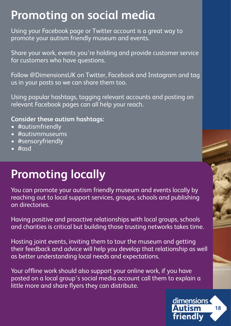### <span id="page-17-0"></span>**Promoting on social media**

Using your Facebook page or Twitter account is a great way to promote your autism friendly museum and events.

Share your work, events you're holding and provide customer service for customers who have questions.

Follow @DimensionsUK on Twitter, Facebook and Instagram and tag us in your posts so we can share them too.

Using popular hashtags, tagging relevant accounts and posting on relevant Facebook pages can all help your reach.

#### **Consider these autism hashtags:**

- #autismfriendly
- #autismmuseums
- #sensoryfriendly
- $\#$ nsd

### **Promoting locally**

You can promote your autism friendly museum and events locally by reaching out to local support services, groups, schools and publishing on directories.

Having positive and proactive relationships with local groups, schools and charities is critical but building those trusting networks takes time.

Hosting joint events, inviting them to tour the museum and getting their feedback and advice will help you develop that relationship as well as better understanding local needs and expectations.

Your offline work should also support your online work, if you have posted on a local group's social media account call them to explain a little more and share flyers they can distribute.

> dimensions **Autism 18** friendly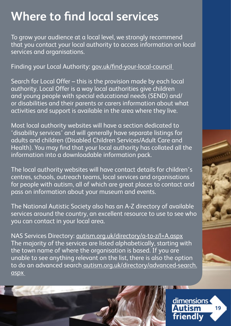### <span id="page-18-0"></span>**Where to find local services**

To grow your audience at a local level, we strongly recommend that you contact your local authority to access information on local services and organisations.

Finding your Local Authority: [gov.uk/find-your-local-council](http://www.gov.uk/find-your-local-council ) 

Search for Local Offer – this is the provision made by each local authority. Local Offer is a way local authorities give children and young people with special educational needs (SEND) and/ or disabilities and their parents or carers information about what activities and support is available in the area where they live.

Most local authority websites will have a section dedicated to 'disability services' and will generally have separate listings for adults and children (Disabled Children Services/Adult Care and Health). You may find that your local authority has collated all the information into a downloadable information pack.

The local authority websites will have contact details for children's centres, schools, outreach teams, local services and organisations for people with autism, all of which are great places to contact and pass on information about your museum and events.

The National Autistic Society also has an A-Z directory of available services around the country, an excellent resource to use to see who you can contact in your local area.

NAS Services Directory: [autism.org.uk/directory/a-to-z/l=A.aspx](http://autism.org.uk/directory/a-to-z/l=A.aspx) The majority of the services are listed alphabetically, starting with the town name of where the organisation is based. If you are unable to see anything relevant on the list, there is also the option to do an advanced search [autism.org.uk/directory/advanced-search.](http://www.autism.org.uk/directory/advanced-search.aspx  ) [aspx](http://www.autism.org.uk/directory/advanced-search.aspx  ) 



dimensions **Autism 19** friendly